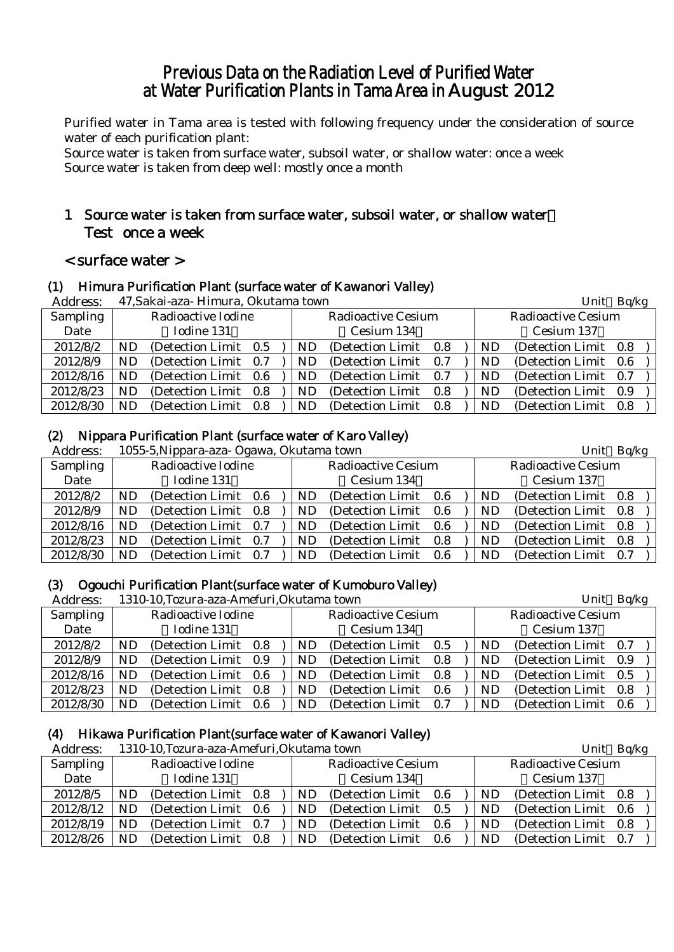# Previous Data on the Radiation Level of Purified Water at Water Purification Plants in Tama Area in August 2012

Purified water in Tama area is tested with following frequency under the consideration of source water of each purification plant:

Source water is taken from surface water, subsoil water, or shallow water: once a week Source water is taken from deep well: mostly once a month

# 1 Source water is taken from surface water, subsoil water, or shallow water: Test once a week

# < surface water >

# (1) Himura Purification Plant (surface water of Kawanori Valley)

| Address:  |           | 47, Sakai-aza- Himura, Okutama town |     |     |                           |     | Unit Bq/kg |                           |  |
|-----------|-----------|-------------------------------------|-----|-----|---------------------------|-----|------------|---------------------------|--|
| Sampling  |           | Radioactive Iodine                  |     |     | <b>Radioactive Cesium</b> |     |            | <b>Radioactive Cesium</b> |  |
| Date      |           | Iodine 131                          |     |     | Cesium 134                |     |            | Cesium 137                |  |
| 2012/8/2  | <b>ND</b> | (Detection Limit 0.5)               |     | ND  | (Detection Limit 0.8)     |     | ND         | (Detection Limit 0.8)     |  |
| 2012/8/9  | ND.       | (Detection Limit 0.7)               |     | ND. | (Detection Limit 0.7)     |     | ND         | (Detection Limit 0.6)     |  |
| 2012/8/16 | <b>ND</b> | (Detection Limit 0.6)               |     | ND. | (Detection Limit 0.7)     |     | ND         | (Detection Limit 0.7)     |  |
| 2012/8/23 | <b>ND</b> | (Detection Limit 0.8)               |     | ND  | (Detection Limit)         | 0.8 | ND         | (Detection Limit 0.9)     |  |
| 2012/8/30 | ND.       | (Detection Limit)                   | 0.8 | ND. | (Detection Limit)         | 0.8 | ND.        | (Detection Limit 0.8)     |  |

# (2) Nippara Purification Plant (surface water of Karo Valley)

| Address:  |    | 1055-5, Nippara-aza- Ogawa, Okutama town |     |     |                           |     | Unit      | Bq/kg                     |     |  |
|-----------|----|------------------------------------------|-----|-----|---------------------------|-----|-----------|---------------------------|-----|--|
| Sampling  |    | Radioactive Iodine                       |     |     | <b>Radioactive Cesium</b> |     |           | <b>Radioactive Cesium</b> |     |  |
| Date      |    | Iodine 131                               |     |     | Cesium 134                |     |           | Cesium 137                |     |  |
| 2012/8/2  | ND | (Detection Limit 0.6)                    |     | ND. | (Detection Limit 0.6)     |     | ND.       | (Detection Limit 0.8)     |     |  |
| 2012/8/9  | ND | (Detection Limit 0.8)                    |     | ND. | (Detection Limit)         | 0.6 | <b>ND</b> | (Detection Limit 0.8)     |     |  |
| 2012/8/16 | ND | (Detection Limit 0.7)                    |     | ND. | (Detection Limit)         | 0.6 | <b>ND</b> | (Detection Limit 0.8)     |     |  |
| 2012/8/23 | ND | (Detection Limit 0.7)                    |     | ND. | (Detection Limit)         | 0.8 | ND        | (Detection Limit)         | 0.8 |  |
| 2012/8/30 | ND | (Detection Limit)                        | 0.7 | ND. | (Detection Limit)         | 0.6 | ND        | (Detection Limit)         | 0.7 |  |

# (3) Ogouchi Purification Plant(surface water of Kumoburo Valley)

| Address:  |    | 1310-10, Tozura-aza-Amefuri, Okutama town |     |     |                           | Unit | Bq/kg     |                           |     |  |
|-----------|----|-------------------------------------------|-----|-----|---------------------------|------|-----------|---------------------------|-----|--|
| Sampling  |    | Radioactive Iodine                        |     |     | <b>Radioactive Cesium</b> |      |           | <b>Radioactive Cesium</b> |     |  |
| Date      |    | Iodine 131                                |     |     | Cesium 134                |      |           | Cesium 137                |     |  |
| 2012/8/2  | ND | (Detection Limit 0.8)                     |     | ND. | (Detection Limit)         | 0.5  | ND        | (Detection Limit 0.7)     |     |  |
| 2012/8/9  | ND | (Detection Limit 0.9)                     |     | ND. | (Detection Limit 0.8)     |      | ND        | (Detection Limit 0.9)     |     |  |
| 2012/8/16 | ND | (Detection Limit 0.6)                     |     | ND. | (Detection Limit)         | 0.8  | <b>ND</b> | (Detection Limit 0.5)     |     |  |
| 2012/8/23 | ND | (Detection Limit 0.8)                     |     | ND. | (Detection Limit)         | 0.6  | ND        | (Detection Limit)         | 0.8 |  |
| 2012/8/30 | ND | (Detection Limit)                         | 0.6 | ND. | (Detection Limit)         | 0.7  | ND        | (Detection Limit)         | 0.6 |  |

# (4) Hikawa Purification Plant(surface water of Kawanori Valley)

| Address:  |    | 1310-10, Tozura-aza-Amefuri, Okutama town |     |     |                           |         |           | Unit                      | Bq/kg |  |
|-----------|----|-------------------------------------------|-----|-----|---------------------------|---------|-----------|---------------------------|-------|--|
| Sampling  |    | Radioactive Iodine                        |     |     | <b>Radioactive Cesium</b> |         |           | <b>Radioactive Cesium</b> |       |  |
| Date      |    | Iodine 131                                |     |     | Cesium 134                |         |           | Cesium 137                |       |  |
| 2012/8/5  | ND | (Detection Limit 0.8)                     |     | ND  | (Detection Limit)         | $0.6\,$ | ND        | (Detection Limit 0.8)     |       |  |
| 2012/8/12 | ND | (Detection Limit 0.6)                     |     | ND. | (Detection Limit)         | 0.5     | <b>ND</b> | (Detection Limit 0.6)     |       |  |
| 2012/8/19 | ND | (Detection Limit)                         | 0.7 | ND. | (Detection Limit)         | 0.6     | <b>ND</b> | (Detection Limit 0.8)     |       |  |
| 2012/8/26 | ND | (Detection Limit)                         | 0.8 | ND. | (Detection Limit)         | 0.6     | <b>ND</b> | (Detection Limit 0.7)     |       |  |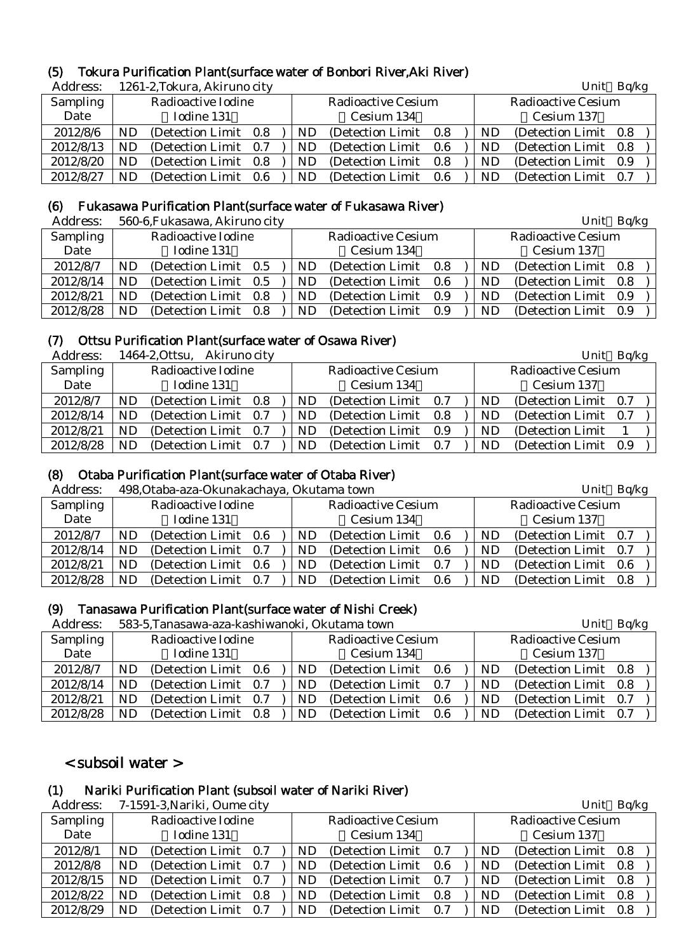### (5) Tokura Purification Plant(surface water of Bonbori River,Aki River)

| Address:  |    | 1261-2, Tokura, Akiruno city |         |     |                           |      |    | Unit                      | Bq/kg |  |
|-----------|----|------------------------------|---------|-----|---------------------------|------|----|---------------------------|-------|--|
| Sampling  |    | Radioactive Iodine           |         |     | <b>Radioactive Cesium</b> |      |    | <b>Radioactive Cesium</b> |       |  |
| Date      |    | Iodine 131                   |         |     | Cesium 134                |      |    | Cesium 137                |       |  |
| 2012/8/6  | ND | (Detection Limit)            | $0.8\,$ | ND  | (Detection Limit)         | 0.8  | ND | (Detection Limit)         | 0.8   |  |
| 2012/8/13 | ND | (Detection Limit)            | 0.7     | ND. | (Detection Limit)         | -0.6 | ND | (Detection Limit)         | 0.8   |  |
| 2012/8/20 | ND | (Detection Limit)            | 0.8     | ND  | (Detection Limit)         | 0.8  | ND | (Detection Limit)         | 0.9   |  |
| 2012/8/27 | ND | (Detection Limit)            | 0.6     | ND  | (Detection Limit)         | 0.6  | ND | (Detection Limit)         | 0.7   |  |

### (6) Fukasawa Purification Plant(surface water of Fukasawa River)

| Address:  |     | 560-6, Fukasawa, Akiruno city |     |     |                           |     |    | Unit                      | Bq/kg |  |
|-----------|-----|-------------------------------|-----|-----|---------------------------|-----|----|---------------------------|-------|--|
| Sampling  |     | Radioactive Iodine            |     |     | <b>Radioactive Cesium</b> |     |    | <b>Radioactive Cesium</b> |       |  |
| Date      |     | Iodine 131                    |     |     | Cesium 134                |     |    | Cesium 137                |       |  |
| 2012/8/7  | ND  | (Detection Limit 0.5          |     | ND  | (Detection Limit)         | 0.8 | ND | (Detection Limit)         | 0.8   |  |
| 2012/8/14 | ND. | (Detection Limit 0.5)         |     | ND. | (Detection Limit)         | 0.6 | ND | (Detection Limit)         | 0.8   |  |
| 2012/8/21 | ND  | (Detection Limit)             | 0.8 | ND. | (Detection Limit)         | 0.9 | ND | (Detection Limit)         | 0.9   |  |
| 2012/8/28 | ND  | (Detection Limit)             | 0.8 | ND  | (Detection Limit)         | 0.9 | ND | (Detection Limit)         | 0.9   |  |

### (7) Ottsu Purification Plant(surface water of Osawa River)

| Address:  |    | 1464-2, Ottsu, Akiruno city |  |            |                           |     |    | Unit                      | Bq/kg |  |
|-----------|----|-----------------------------|--|------------|---------------------------|-----|----|---------------------------|-------|--|
| Sampling  |    | Radioactive Iodine          |  |            | <b>Radioactive Cesium</b> |     |    | <b>Radioactive Cesium</b> |       |  |
| Date      |    | Iodine 131                  |  |            | Cesium 134                |     |    | Cesium 137                |       |  |
| 2012/8/7  | ND | (Detection Limit 0.8)       |  | ND         | (Detection Limit 0.7)     |     | ND | (Detection Limit 0.7)     |       |  |
| 2012/8/14 | ND | (Detection Limit 0.7)       |  | ND         | (Detection Limit 0.8)     |     | ND | (Detection Limit 0.7)     |       |  |
| 2012/8/21 | ND | (Detection Limit 0.7)       |  | ${\rm ND}$ | (Detection Limit)         | 0.9 | ND | (Detection Limit)         |       |  |
| 2012/8/28 | ND | (Detection Limit 0.7)       |  | ND         | (Detection Limit)         | 0.7 | ND | (Detection Limit)         | 0.9   |  |

# (8) Otaba Purification Plant(surface water of Otaba River)

Address: 498,Otaba-aza-Okunakachaya, Okutama town Unit Bq/kg

| Audress.  |    | 498.Otaba-aza-Okunakachaya, Okutama towif |  |     |                           |       | $UIIIU$ DU/Kg |                           |  |  |
|-----------|----|-------------------------------------------|--|-----|---------------------------|-------|---------------|---------------------------|--|--|
| Sampling  |    | Radioactive Iodine                        |  |     | <b>Radioactive Cesium</b> |       |               | <b>Radioactive Cesium</b> |  |  |
| Date      |    | Iodine 131                                |  |     | Cesium 134                |       |               | Cesium 137                |  |  |
| 2012/8/7  | ND | (Detection Limit 0.6)                     |  | ND  | (Detection Limit)         | - 0.6 | ND            | (Detection Limit 0.7)     |  |  |
| 2012/8/14 | ND | (Detection Limit 0.7)                     |  | ND. | (Detection Limit 0.6)     |       | ND            | (Detection Limit 0.7)     |  |  |
| 2012/8/21 | ND | (Detection Limit 0.6)                     |  | ND. | (Detection Limit)         | 0.7   | ND            | (Detection Limit 0.6)     |  |  |
| 2012/8/28 | ND | (Detection Limit 0.7)                     |  | ND. | (Detection Limit)         | 0.6   | ND            | (Detection Limit 0.8)     |  |  |

### (9) Tanasawa Purification Plant(surface water of Nishi Creek)

| Address:  |    | 583-5, Tanasawa-aza-kashiwanoki, Okutama town |     |  |     |                           | Unit | Bq/kg |                           |     |  |
|-----------|----|-----------------------------------------------|-----|--|-----|---------------------------|------|-------|---------------------------|-----|--|
| Sampling  |    | Radioactive Iodine                            |     |  |     | <b>Radioactive Cesium</b> |      |       | <b>Radioactive Cesium</b> |     |  |
| Date      |    | Iodine 131                                    |     |  |     | Cesium 134                |      |       | Cesium 137                |     |  |
| 2012/8/7  | ND | (Detection Limit 0.6)                         |     |  | ND  | (Detection Limit)         | 0.6  | ND.   | (Detection Limit 0.8)     |     |  |
| 2012/8/14 | ND | (Detection Limit 0.7)                         |     |  | ND. | (Detection Limit)         | 0.7  | ND    | (Detection Limit 0.8)     |     |  |
| 2012/8/21 | ND | (Detection Limit 0.7)                         |     |  | ND. | (Detection Limit)         | 0.6  | ND    | (Detection Limit 0.7)     |     |  |
| 2012/8/28 | ND | (Detection Limit)                             | 0.8 |  | ND  | (Detection Limit)         | 0.6  | ND    | (Detection Limit)         | 0.7 |  |

# < subsoil water >

### (1) Nariki Purification Plant (subsoil water of Nariki River)

Address: 7-1591-3, Nariki, Oume city Unit Bq/kg Sampling Date Radioactive Iodine Iodine 131 Radioactive Cesium Cesium 134 Radioactive Cesium Cesium 137 2012/8/1 | ND (Detection Limit 0.7 ) | ND (Detection Limit 0.7 ) | ND (Detection Limit 0.8 2012/8/8 | ND (Detection Limit 0.7 ) | ND (Detection Limit 0.6 ) | ND (Detection Limit 0.8  $2012/8/15$  ND (Detection Limit 0.7 ) ND (Detection Limit 0.7 ) ND (Detection Limit 0.8  $2012/8/22$  ND (Detection Limit 0.8 ) ND (Detection Limit 0.8 ) ND (Detection Limit 0.8 2012/8/29 | ND (Detection Limit 0.7 ) | ND (Detection Limit 0.7 ) | ND (Detection Limit 0.8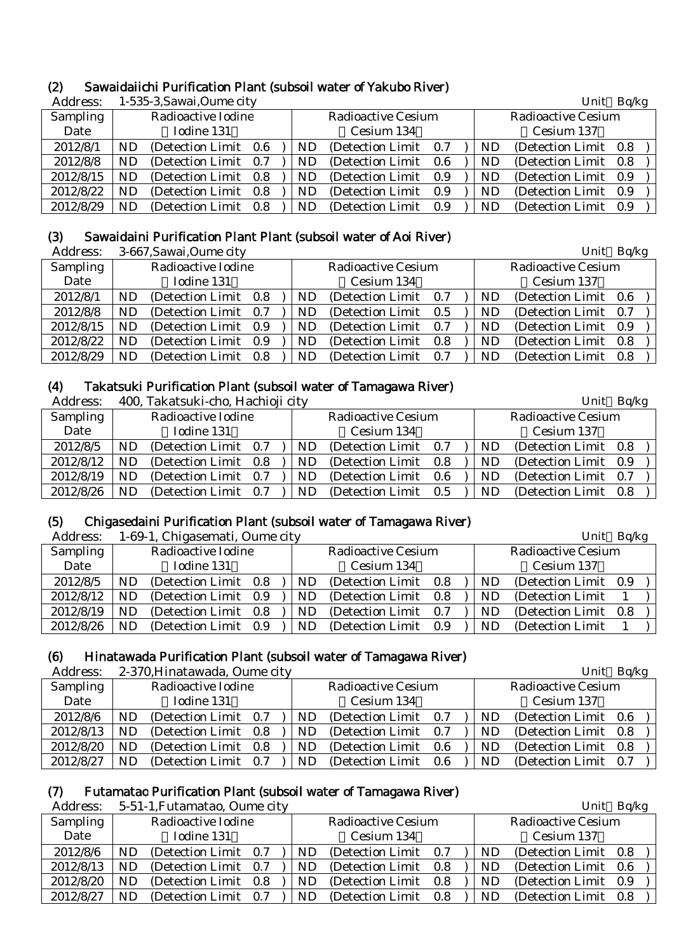# (2) Sawaidaiichi Purification Plant (subsoil water of Yakubo River)

| Address:        |           | 1-535-3, Sawai, Oume city |  |           |                       |       |    | Unit                  | Bq/kg |  |
|-----------------|-----------|---------------------------|--|-----------|-----------------------|-------|----|-----------------------|-------|--|
| <b>Sampling</b> |           | Radioactive Iodine        |  |           | Radioactive Cesium    |       |    | Radioactive Cesium    |       |  |
| Date            |           | Iodine 131                |  |           | Cesium 134            |       |    | Cesium 137            |       |  |
| 2012/8/1        | ND        | (Detection Limit 0.6)     |  | ND        | (Detection Limit)     | - 0.7 | ND | (Detection Limit 0.8) |       |  |
| 2012/8/8        | <b>ND</b> | (Detection Limit 0.7)     |  | ND        | (Detection Limit)     | 0.6   | ND | (Detection Limit)     | 0.8   |  |
| 2012/8/15       | ND        | (Detection Limit 0.8)     |  | ND.       | (Detection Limit 0.9) |       | ND | (Detection Limit 0.9) |       |  |
| 2012/8/22       | ND        | (Detection Limit 0.8)     |  | <b>ND</b> | (Detection Limit)     | 0.9   | ND | (Detection Limit)     | 0.9   |  |
| 2012/8/29       | ND        | (Detection Limit 0.8)     |  | ND        | (Detection Limit)     | 0.9   | ND | (Detection Limit)     | 0.9   |  |

### (3) Sawaidaini Purification Plant Plant (subsoil water of Aoi River)

Address: 3-667,Sawai,Oume city Unit Bq/kg

| Auui Cool |           | o-vor, bawai, Oulile City |  |     |                           |     |     | $U$ <sub>111</sub> $U$ <sup>11</sup> <sub>11</sub> |     |  |
|-----------|-----------|---------------------------|--|-----|---------------------------|-----|-----|----------------------------------------------------|-----|--|
| Sampling  |           | Radioactive Iodine        |  |     | <b>Radioactive Cesium</b> |     |     | <b>Radioactive Cesium</b>                          |     |  |
| Date      |           | Iodine 131                |  |     | Cesium 134                |     |     | Cesium 137                                         |     |  |
| 2012/8/1  | ND        | (Detection Limit 0.8)     |  | ND. | (Detection Limit)         | 0.7 | ND  | (Detection Limit)                                  | 0.6 |  |
| 2012/8/8  | ND        | (Detection Limit 0.7)     |  | ND. | (Detection Limit 0.5)     |     | ND. | (Detection Limit)                                  | 0.7 |  |
| 2012/8/15 | <b>ND</b> | (Detection Limit 0.9)     |  | ND. | (Detection Limit 0.7)     |     | ND. | (Detection Limit                                   | 0.9 |  |
| 2012/8/22 | <b>ND</b> | (Detection Limit 0.9)     |  | ND  | (Detection Limit 0.8)     |     | ND  | (Detection Limit)                                  | 0.8 |  |
| 2012/8/29 | <b>ND</b> | (Detection Limit 0.8)     |  | ND. | (Detection Limit)         | 0.7 | ND  | (Detection Limit)                                  | 0.8 |  |

# (4) Takatsuki Purification Plant (subsoil water of Tamagawa River)

Address: 400 Takatsuki-cho, Hachioji city Unit Bq/kg Unit Bq/kg

| 1.1992.000 |    | 100, 1000             |     |    |                           |       |     |                           | - ר־ד |  |
|------------|----|-----------------------|-----|----|---------------------------|-------|-----|---------------------------|-------|--|
| Sampling   |    | Radioactive Iodine    |     |    | <b>Radioactive Cesium</b> |       |     | <b>Radioactive Cesium</b> |       |  |
| Date       |    | Iodine 131            |     |    | Cesium 134                |       |     | Cesium 137                |       |  |
| 2012/8/5   | ND | (Detection Limit 0.7) |     | ND | (Detection Limit)         | - 0.7 | ND  | (Detection Limit 0.8)     |       |  |
| 2012/8/12  | ND | (Detection Limit 0.8) |     | ND | (Detection Limit 0.8)     |       | ND  | (Detection Limit 0.9)     |       |  |
| 2012/8/19  | ND | (Detection Limit 0.7) |     | ND | (Detection Limit)         | 0.6   | ND  | (Detection Limit 0.7)     |       |  |
| 2012/8/26  | ND | (Detection Limit)     | 0.7 | ND | (Detection Limit)         | 0.5   | ND. | (Detection Limit)         | 0.8   |  |

# (5) Chigasedaini Purification Plant (subsoil water of Tamagawa River)

| Address:  |           | 1-69-1, Chigasemati, Oume city |     |                           |     |           | Unit                      | Bq/kg |  |
|-----------|-----------|--------------------------------|-----|---------------------------|-----|-----------|---------------------------|-------|--|
| Sampling  |           | Radioactive Iodine             |     | <b>Radioactive Cesium</b> |     |           | <b>Radioactive Cesium</b> |       |  |
| Date      |           | Iodine 131                     |     | Cesium 134                |     |           | Cesium 137                |       |  |
| 2012/8/5  | ND.       | (Detection Limit 0.8)          | ND. | (Detection Limit 0.8)     |     | ND        | (Detection Limit 0.9)     |       |  |
| 2012/8/12 | ND        | (Detection Limit 0.9)          | ND. | (Detection Limit 0.8)     |     | <b>ND</b> | (Detection Limit)         |       |  |
| 2012/8/19 | <b>ND</b> | (Detection Limit 0.8)          | ND. | (Detection Limit 0.7)     |     | <b>ND</b> | (Detection Limit 0.8)     |       |  |
| 2012/8/26 | <b>ND</b> | (Detection Limit 0.9)          | ND. | (Detection Limit)         | 0.9 | ND.       | (Detection Limit)         |       |  |

# (6) Hinatawada Purification Plant (subsoil water of Tamagawa River)

Address: 2-370 Hinatawada, Oume city **Address: 2-370 Hinatawada**, Oume city **Unit Balkg** 

| <i>L</i> udico. |    | $\approx$ 01 0.1 minutuwaaa, Ounic city |     |           |                           |     |    | $C$ $D_{\mathcal{Y}}$     |     |  |
|-----------------|----|-----------------------------------------|-----|-----------|---------------------------|-----|----|---------------------------|-----|--|
| <b>Sampling</b> |    | Radioactive Iodine                      |     |           | <b>Radioactive Cesium</b> |     |    | <b>Radioactive Cesium</b> |     |  |
| Date            |    | Iodine 131                              |     |           | Cesium 134                |     |    | Cesium 137                |     |  |
| 2012/8/6        | ND | (Detection Limit 0.7)                   |     | ND        | (Detection Limit)         | 0.7 | ND | (Detection Limit 0.6)     |     |  |
| 2012/8/13       | ND | (Detection Limit 0.8)                   |     | ND.       | (Detection Limit)         | 0.7 | ND | (Detection Limit 0.8)     |     |  |
| 2012/8/20       | ND | (Detection Limit)                       | 0.8 | <b>ND</b> | (Detection Limit)         | 0.6 | ND | (Detection Limit)         | 0.8 |  |
| 2012/8/27       | ND | (Detection Limit)                       | 0.7 | ND        | (Detection Limit)         | 0.6 | ND | (Detection Limit)         | 0.7 |  |

# (7) Futamatao Purification Plant (subsoil water of Tamagawa River)

Address: 5-51-1. Futamatao, Oume city Letter Contract Contract Changes Unit Bq/kg

| man voo   |    | <u>o or i'i aldinaldo, ounic city</u> |     |    |                           |     |    | $U$ <sub>111</sub> $U$ <sup>11</sup> $H$ |     |  |
|-----------|----|---------------------------------------|-----|----|---------------------------|-----|----|------------------------------------------|-----|--|
| Sampling  |    | Radioactive Iodine                    |     |    | <b>Radioactive Cesium</b> |     |    | <b>Radioactive Cesium</b>                |     |  |
| Date      |    | Iodine 131                            |     |    | Cesium 134                |     |    | Cesium 137                               |     |  |
| 2012/8/6  | ND | (Detection Limit 0.7)                 |     | ND | (Detection Limit 0.7)     |     | ND | (Detection Limit 0.8)                    |     |  |
| 2012/8/13 | ND | (Detection Limit 0.7)                 |     | ND | (Detection Limit 0.8)     |     | ND | (Detection Limit 0.6)                    |     |  |
| 2012/8/20 | ND | (Detection Limit 0.8)                 |     | ND | (Detection Limit 0.8)     |     | ND | (Detection Limit)                        | 0.9 |  |
| 2012/8/27 | ND | (Detection Limit)                     | 0.7 | ND | (Detection Limit)         | 0.8 | ND | (Detection Limit)                        | 0.8 |  |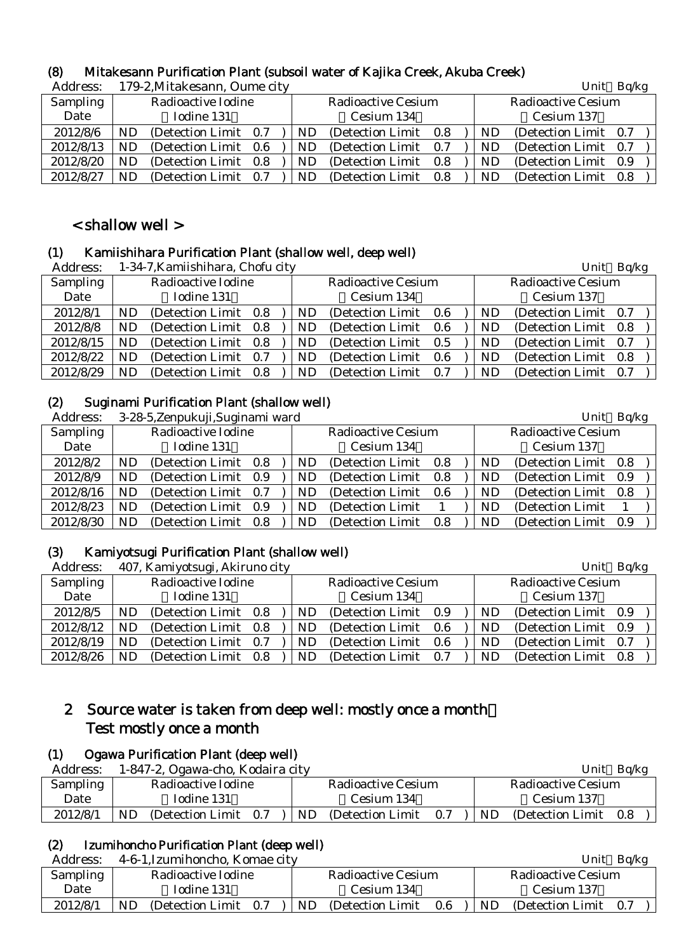| Address:        |    | 179-2, Mitakesann, Oume city |     |                           |     |     | Unit                      | Bq/kg |
|-----------------|----|------------------------------|-----|---------------------------|-----|-----|---------------------------|-------|
| <b>Sampling</b> |    | Radioactive Iodine           |     | <b>Radioactive Cesium</b> |     |     | <b>Radioactive Cesium</b> |       |
| Date            |    | Iodine 131                   |     | Cesium 134                |     |     | Cesium 137                |       |
| 2012/8/6        | ND | (Detection Limit 0.7)        | ND. | (Detection Limit 0.8)     |     | ND  | (Detection Limit)         | 0.7   |
| 2012/8/13       | ND | (Detection Limit 0.6)        | ND  | (Detection Limit 0.7)     |     | ND  | (Detection Limit)         | 0.7   |
| 2012/8/20       | ND | (Detection Limit 0.8)        | ND  | (Detection Limit 0.8)     |     | ND  | (Detection Limit)         | 0.9   |
| 2012/8/27       | ND | (Detection Limit 0.7)        | ND  | (Detection Limit)         | 0.8 | ND. | (Detection Limit)         | 0.8   |

# (8) Mitakesann Purification Plant (subsoil water of Kajika Creek, Akuba Creek)

# < shallow well >

# (1) Kamiishihara Purification Plant (shallow well, deep well)

| Address:  |           | 1-34-7, Kamiishihara, Chofu city |  |     |                           |  |           | Unit                      | Bq/kg |
|-----------|-----------|----------------------------------|--|-----|---------------------------|--|-----------|---------------------------|-------|
| Sampling  |           | Radioactive Iodine               |  |     | <b>Radioactive Cesium</b> |  |           | <b>Radioactive Cesium</b> |       |
| Date      |           | Iodine 131                       |  |     | Cesium 134                |  |           | Cesium 137                |       |
| 2012/8/1  | <b>ND</b> | (Detection Limit 0.8)            |  | ND. | (Detection Limit 0.6)     |  | <b>ND</b> | (Detection Limit 0.7)     |       |
| 2012/8/8  | <b>ND</b> | (Detection Limit 0.8)            |  | ND. | (Detection Limit 0.6)     |  | ND        | (Detection Limit 0.8)     |       |
| 2012/8/15 | <b>ND</b> | (Detection Limit 0.8)            |  | ND. | (Detection Limit 0.5)     |  | ND        | (Detection Limit 0.7)     |       |
| 2012/8/22 | <b>ND</b> | (Detection Limit 0.7)            |  | ND. | (Detection Limit 0.6)     |  | <b>ND</b> | (Detection Limit 0.8)     |       |
| 2012/8/29 | ND.       | (Detection Limit 0.8)            |  | ND. | (Detection Limit 0.7)     |  | ND        | (Detection Limit 0.7)     |       |

# (2) Suginami Purification Plant (shallow well)

Address: 3-28-5,Zenpukuji,Suginami ward Unit Bq/kg

| AUUL COO. |    | 5-20-5, Lenpurun, Sugnianii waru |     |     |                           |     |    | $UIIIU$ $UVK$             |     |  |
|-----------|----|----------------------------------|-----|-----|---------------------------|-----|----|---------------------------|-----|--|
| Sampling  |    | Radioactive Iodine               |     |     | <b>Radioactive Cesium</b> |     |    | <b>Radioactive Cesium</b> |     |  |
| Date      |    | Iodine 131                       |     |     | Cesium 134                |     |    | Cesium 137                |     |  |
| 2012/8/2  | ND | (Detection Limit 0.8)            |     | ND. | (Detection Limit)         | 0.8 | ND | (Detection Limit 0.8)     |     |  |
| 2012/8/9  | ND | (Detection Limit)                | 0.9 | ND. | (Detection Limit)         | 0.8 | ND | (Detection Limit)         | 0.9 |  |
| 2012/8/16 | ND | (Detection Limit 0.7)            |     | ND. | (Detection Limit)         | 0.6 | ND | (Detection Limit 0.8)     |     |  |
| 2012/8/23 | ND | (Detection Limit)                | 0.9 | ND  | (Detection Limit)         |     | ND | (Detection Limit)         |     |  |
| 2012/8/30 | ND | (Detection Limit)                | 0.8 | ND. | (Detection Limit)         | 0.8 | ND | (Detection Limit 0.9)     |     |  |
|           |    |                                  |     |     |                           |     |    |                           |     |  |

# (3) Kamiyotsugi Purification Plant (shallow well)

| Address:  |           | 407, Kamiyotsugi, Akiruno city |     |                           |     |    | Unit                      | Bq/kg |  |
|-----------|-----------|--------------------------------|-----|---------------------------|-----|----|---------------------------|-------|--|
| Sampling  |           | Radioactive Iodine             |     | <b>Radioactive Cesium</b> |     |    | <b>Radioactive Cesium</b> |       |  |
| Date      |           | Iodine 131                     |     | Cesium 134                |     |    | Cesium 137                |       |  |
| 2012/8/5  | ND        | (Detection Limit 0.8)          | ND. | (Detection Limit 0.9)     |     | ND | (Detection Limit)         | 0.9   |  |
| 2012/8/12 | <b>ND</b> | (Detection Limit 0.8)          | ND. | (Detection Limit 0.6)     |     | ND | (Detection Limit 0.9)     |       |  |
| 2012/8/19 | <b>ND</b> | (Detection Limit 0.7)          | ND  | (Detection Limit 0.6)     |     | ND | (Detection Limit)         | 0.7   |  |
| 2012/8/26 | ND.       | (Detection Limit 0.8)          | ND  | (Detection Limit)         | 0.7 | ND | (Detection Limit)         | 0.8   |  |

# 2 Source water is taken from deep well: mostly once a month: Test mostly once a month

# (1) Ogawa Purification Plant (deep well)

| Address: | 1-847-2, Ogawa-cho, Kodaira city |                                            | Ba/kg<br>Unit                         |
|----------|----------------------------------|--------------------------------------------|---------------------------------------|
| Sampling | Radioactive Iodine               | Radioactive Cesium                         | Radioactive Cesium                    |
| Date     | Iodine 131                       | Cesium 134                                 | Cesium 137                            |
| 2012/8/1 | ND<br>(Detection Limit)<br>0.7   | N <sub>D</sub><br>(Detection Limit)<br>0.7 | <b>ND</b><br>(Detection Limit)<br>0.8 |

# (2) Izumihoncho Purification Plant (deep well)

| Address: | 4-6-1, Izumihoncho, Komae city |                                 | Bq/kg<br>Unit               |
|----------|--------------------------------|---------------------------------|-----------------------------|
| Sampling | Radioactive Iodine             | Radioactive Cesium              | Radioactive Cesium          |
| Date     | Iodine 131                     | Cesium 134                      | Cesium 137                  |
| 2012/8/1 | (Detection Limit 0.7)<br>ND    | ND.<br>(Detection Limit)<br>0.6 | ND<br>(Detection Limit 0.7) |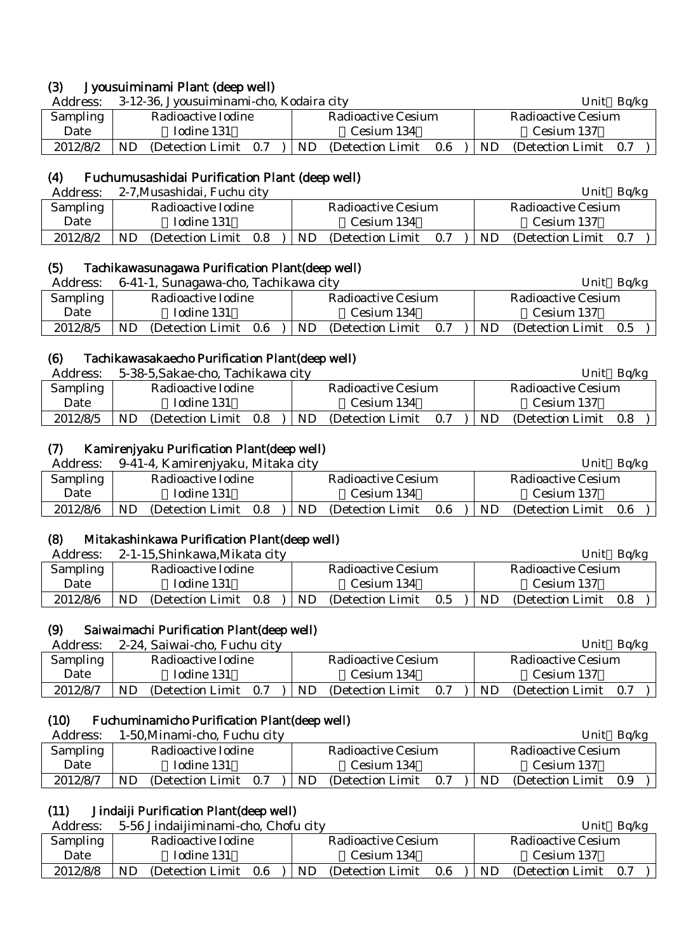| (3)      | Jyousuiminami Plant (deep well)          |                                 |                              |
|----------|------------------------------------------|---------------------------------|------------------------------|
| Address: | 3-12-36, Jyousuiminami-cho, Kodaira city |                                 | Unit Bq/kg                   |
| Sampling | Radioactive Iodine                       | Radioactive Cesium              | Radioactive Cesium           |
| Date     | Iodine 131                               | Cesium 134                      | Cesium 137                   |
| 2012/8/2 | ND.<br>(Detection Limit 0.7)             | ND.<br>(Detection Limit)<br>0.6 | ND.<br>(Detection Limit 0.7) |

# (4) Fuchumusashidai Purification Plant (deep well)

| Address:        | 2-7, Musashidai, Fuchu city    |                                 | Ba/kg<br>Unit                  |
|-----------------|--------------------------------|---------------------------------|--------------------------------|
| <b>Sampling</b> | Radioactive Iodine             | Radioactive Cesium              | Radioactive Cesium             |
| Date            | Iodine 131                     | Cesium 134                      | Cesium 137                     |
| 2012/8/2        | ND<br>(Detection Limit)<br>0.8 | ND.<br>0.7<br>(Detection Limit) | ND<br>(Detection Limit)<br>0.7 |

### (5) Tachikawasunagawa Purification Plant(deep well)

| Address: | 6-41-1, Sunagawa-cho, Tachikawa city | Unit<br>Ba/kg                   |                                       |
|----------|--------------------------------------|---------------------------------|---------------------------------------|
| Sampling | Radioactive Iodine                   | Radioactive Cesium              | Radioactive Cesium                    |
| Date     | Iodine 131                           | Cesium 134                      | Cesium 137                            |
| 2012/8/5 | ND<br>(Detection Limit)<br>- 0.6     | ND.<br>(Detection Limit)<br>0.7 | <b>ND</b><br>(Detection Limit)<br>0.5 |

# (6) Tachikawasakaecho Purification Plant(deep well)

| Address:        | 5-38-5, Sakae-cho, Tachikawa city |                                 | Ba/kg<br>Unit                      |
|-----------------|-----------------------------------|---------------------------------|------------------------------------|
| <b>Sampling</b> | Radioactive Iodine                | Radioactive Cesium              | Radioactive Cesium                 |
| Date            | Iodine 131                        | Cesium 134                      | Cesium 137                         |
| 2012/8/5        | ND<br>(Detection Limit)<br>0.8    | ND.<br>(Detection Limit)<br>0.7 | <b>ND</b><br>(Detection Limit 0.8) |

# (7) Kamirenjyaku Purification Plant(deep well)

| Address: | 9-41-4, Kamirenjyaku, Mitaka city |                                 | Unit<br>Bq/kg                           |
|----------|-----------------------------------|---------------------------------|-----------------------------------------|
| Sampling | Radioactive Iodine                | Radioactive Cesium              | Radioactive Cesium                      |
| Date     | Iodine 131                        | Cesium 134                      | Cesium 137                              |
| 2012/8/6 | ND<br>(Detection Limit)<br>0.8    | ND.<br>0.6<br>(Detection Limit) | <b>ND</b><br>(Detection Limit)<br>- 0.6 |

# (8) Mitakashinkawa Purification Plant(deep well)

| Address: | 2-1-15, Shinkawa, Mikata city  |                                 | Ba/kg<br>Unit                  |
|----------|--------------------------------|---------------------------------|--------------------------------|
| Sampling | Radioactive Iodine             | Radioactive Cesium              | Radioactive Cesium             |
| Date     | Iodine 131                     | Cesium 134                      | Cesium 137                     |
| 2012/8/6 | ND<br>(Detection Limit)<br>0.8 | ND.<br>(Detection Limit)<br>0.5 | ND<br>(Detection Limit)<br>0.8 |

### (9) Saiwaimachi Purification Plant(deep well)

Address: 2-24, Saiwai-cho, Fuchu city Unit Bq/kg

| 1.1441 UUU | $\approx$ $\approx$ 1, Salvight shot if a shot shot. |                                 |                                    |
|------------|------------------------------------------------------|---------------------------------|------------------------------------|
| Sampling   | Radioactive Iodine                                   | Radioactive Cesium              | Radioactive Cesium                 |
| Date       | Iodine 131                                           | Cesium 134                      | Cesium 137                         |
| 2012/8/7   | ND<br>(Detection Limit 0.7)                          | ND.<br>(Detection Limit)<br>0.7 | <b>ND</b><br>(Detection Limit 0.7) |

# (10) Fuchuminamicho Purification Plant(deep well)

| Address: | 1-50, Minami-cho, Fuchu city   |    |                    |     |    | Unit               | Ba/kg |
|----------|--------------------------------|----|--------------------|-----|----|--------------------|-------|
| Sampling | Radioactive Iodine             |    | Radioactive Cesium |     |    | Radioactive Cesium |       |
| Date     | Iodine 131                     |    | Cesium 134         |     |    | Cesium 137         |       |
| 2012/8/7 | ND<br>(Detection Limit)<br>0.7 | ND | (Detection Limit)  | 0.7 | ND | (Detection Limit)  | 0.9   |

# (11) Jindaiji Purification Plant(deep well)

| Address: |            | 5-56 Jindaijiminami-cho, Chofu city |         |    |                           |     | Ba/kg<br>Unit |                    |     |  |
|----------|------------|-------------------------------------|---------|----|---------------------------|-----|---------------|--------------------|-----|--|
| Sampling |            | Radioactive Iodine                  |         |    | <b>Radioactive Cesium</b> |     |               | Radioactive Cesium |     |  |
| Date     | Iodine 131 |                                     |         |    | Cesium 134                |     |               | Cesium 137         |     |  |
| 2012/8/8 | ND         | (Detection Limit)                   | $0.6\,$ | ND | (Detection Limit)         | 0.6 | ND.           | (Detection Limit)  | 0.7 |  |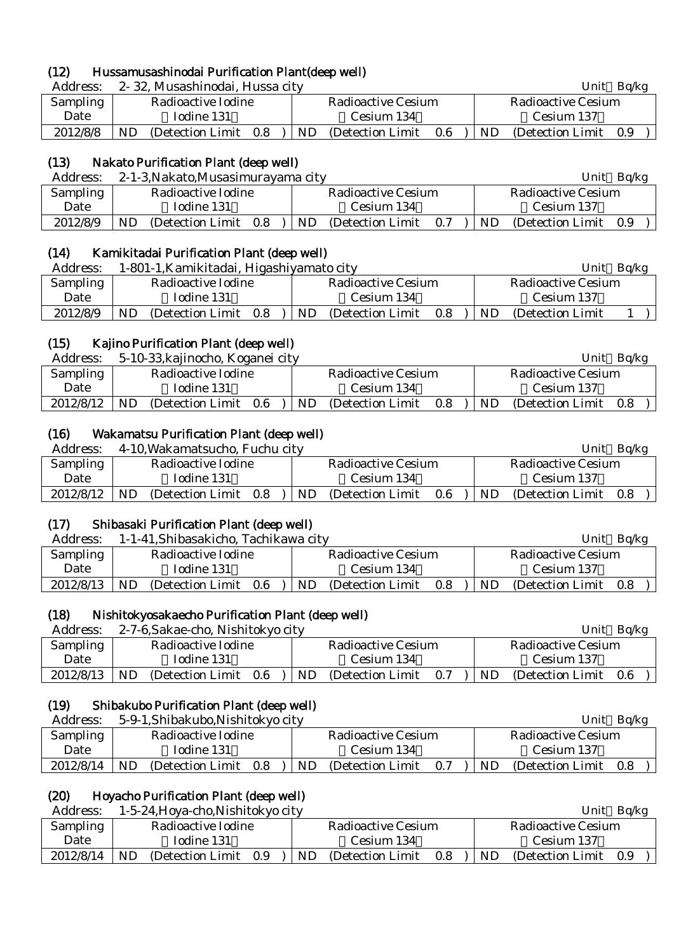# (12) Hussamusashinodai Purification Plant(deep well)

| Address: |    | 2-32, Musashinodai, Hussa city |     |     |                    |     |    | Unit               | Ba/kg |  |
|----------|----|--------------------------------|-----|-----|--------------------|-----|----|--------------------|-------|--|
| Sampling |    | Radioactive Iodine             |     |     | Radioactive Cesium |     |    | Radioactive Cesium |       |  |
| Date     |    | Iodine 131                     |     |     | Cesium 134         |     |    | Cesium 137         |       |  |
| 2012/8/8 | ND | (Detection Limit)              | 0.8 | ND. | (Detection Limit)  | 0.6 | ND | (Detection Limit)  | 0.9   |  |

### (13) Nakato Purification Plant (deep well)

| Address: |    | 2-1-3, Nakato, Musasimurayama city |     |     |                    |     |     | Unit<br>Bq/kg      |     |  |
|----------|----|------------------------------------|-----|-----|--------------------|-----|-----|--------------------|-----|--|
| Sampling |    | Radioactive Iodine                 |     |     | Radioactive Cesium |     |     | Radioactive Cesium |     |  |
| Date     |    | Iodine 131                         |     |     | Cesium 134         |     |     | Cesium 137         |     |  |
| 2012/8/9 | ND | (Detection Limit)                  | 0.8 | ND. | (Detection Limit)  | 0.7 | ND. | (Detection Limit)  | 0.9 |  |

# (14) Kamikitadai Purification Plant (deep well)

| Address: | 1-801-1, Kamikitadai, Higashiyamato city | Unit Bq/kg                      |                          |
|----------|------------------------------------------|---------------------------------|--------------------------|
| Sampling | Radioactive Iodine                       | <b>Radioactive Cesium</b>       | Radioactive Cesium       |
| Date     | Iodine 131                               | Cesium 134                      | Cesium 137               |
| 2012/8/9 | (Detection Limit 0.8)<br>ND              | ND.<br>(Detection Limit)<br>0.8 | (Detection Limit)<br>ND. |

### (15) Kajino Purification Plant (deep well)

| 5-10-33, kajinocho, Koganei city<br>Address:<br>Unit                                                       | Bq/kg |
|------------------------------------------------------------------------------------------------------------|-------|
| Sampling<br>Radioactive Iodine<br>Radioactive Cesium<br>Radioactive Cesium                                 |       |
| Iodine 131<br>Cesium 137<br>Cesium 134<br>Date                                                             |       |
| 2012/8/12<br>ND<br>ND.<br>(Detection Limit)<br>(Detection Limit)<br>ND.<br>(Detection Limit)<br>0.6<br>0.8 | 0.8   |

# (16) Wakamatsu Purification Plant (deep well)

| Address:  |           | 4-10, Wakamatsucho, Fuchu city |         |     |                    |     |     | Unit                  | Ba/kg |  |
|-----------|-----------|--------------------------------|---------|-----|--------------------|-----|-----|-----------------------|-------|--|
| Sampling  |           | Radioactive Iodine             |         |     | Radioactive Cesium |     |     | Radioactive Cesium    |       |  |
| Date      |           | Iodine 131                     |         |     | Cesium 134         |     |     | Cesium 137            |       |  |
| 2012/8/12 | <b>ND</b> | (Detection Limit)              | $0.8\,$ | ND. | (Detection Limit)  | 0.6 | ND. | (Detection Limit 0.8) |       |  |
|           |           |                                |         |     |                    |     |     |                       |       |  |

# (17) Shibasaki Purification Plant (deep well)

| Address:  | 1-1-41, Shibasakicho, Tachikawa city | Bq/kg<br>Unit                   |                              |  |  |
|-----------|--------------------------------------|---------------------------------|------------------------------|--|--|
| Sampling  | Radioactive Iodine                   | Radioactive Cesium              | Radioactive Cesium           |  |  |
| Date      | Iodine 131                           | Cesium 134                      | Cesium 137                   |  |  |
| 2012/8/13 | ND<br>(Detection Limit)<br>-0.6      | ND.<br>(Detection Limit)<br>0.8 | ND.<br>(Detection Limit 0.8) |  |  |

# (18) Nishitokyosakaecho Purification Plant (deep well)

| Address:        |    | 2-7-6, Sakae-cho, Nishitokyo city |     |     |                    |     |     | Unit                  | Ba/kg |  |
|-----------------|----|-----------------------------------|-----|-----|--------------------|-----|-----|-----------------------|-------|--|
| <b>Sampling</b> |    | Radioactive Iodine                |     |     | Radioactive Cesium |     |     | Radioactive Cesium    |       |  |
| Date            |    | Todine 131                        |     |     | Cesium 134         |     |     | Cesium 137            |       |  |
| 2012/8/13       | ND | (Detection Limit)                 | 0.6 | ND. | (Detection Limit)  | 0.7 | ND. | (Detection Limit 0.6) |       |  |

### (19) Shibakubo Purification Plant (deep well)

| Address:  |     | 5-9-1, Shibakubo, Nishitokyo city |     |     |                    |     |    | Unit                  | Ba/kg |  |
|-----------|-----|-----------------------------------|-----|-----|--------------------|-----|----|-----------------------|-------|--|
| Sampling  |     | Radioactive Iodine                |     |     | Radioactive Cesium |     |    | Radioactive Cesium    |       |  |
| Date      |     | Iodine 131                        |     |     | Cesium 134         |     |    | Cesium 137            |       |  |
| 2012/8/14 | ND. | (Detection Limit)                 | 0.8 | ND. | (Detection Limit)  | 0.7 | ND | (Detection Limit 0.8) |       |  |

# (20) Hoyacho Purification Plant (deep well)

| Address:  | 1-5-24, Hoya-cho, Nishitokyo city     |                                | Unit<br>Ba/kg                   |  |  |
|-----------|---------------------------------------|--------------------------------|---------------------------------|--|--|
| Sampling  | Radioactive Iodine                    | Radioactive Cesium             | Radioactive Cesium              |  |  |
| Date      | Iodine 131                            | Cesium 134                     | Cesium 137                      |  |  |
| 2012/8/14 | <b>ND</b><br>(Detection Limit)<br>0.9 | ND<br>0.8<br>(Detection Limit) | ND.<br>(Detection Limit)<br>0.9 |  |  |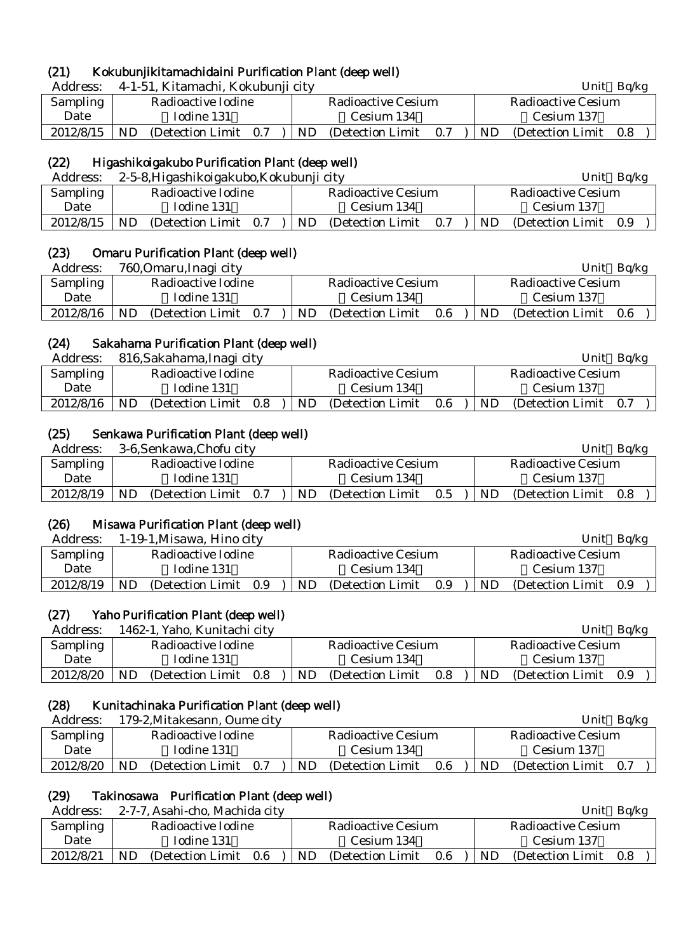# (21) Kokubunjikitamachidaini Purification Plant (deep well)

| Address:  |     | 4-1-51, Kitamachi, Kokubunji city |     |     |                    |     |     | Unit               | Ba/kg |  |
|-----------|-----|-----------------------------------|-----|-----|--------------------|-----|-----|--------------------|-------|--|
| Sampling  |     | Radioactive Iodine                |     |     | Radioactive Cesium |     |     | Radioactive Cesium |       |  |
| Date      |     | Iodine 131                        |     |     | Cesium 134         |     |     | Cesium 137         |       |  |
| 2012/8/15 | ND. | (Detection Limit)                 | 0.7 | ND. | (Detection Limit)  | 0.7 | ND. | (Detection Limit)  | 0.8   |  |

# (22) Higashikoigakubo Purification Plant (deep well)

| Address:        | 2-5-8, Higashikoigakubo, Kokubunji city | Ba/kg<br>Unit                   |                              |  |  |
|-----------------|-----------------------------------------|---------------------------------|------------------------------|--|--|
| <b>Sampling</b> | Radioactive Iodine                      | Radioactive Cesium              | Radioactive Cesium           |  |  |
| Date            | Todine 131                              | Cesium 134                      | Cesium 137                   |  |  |
| 2012/8/15       | ND<br>(Detection Limit)<br>0.7          | ND.<br>(Detection Limit)<br>0.7 | ND.<br>(Detection Limit 0.9) |  |  |

# (23) Omaru Purification Plant (deep well)

| Address:  | 760, Omaru, Inagi city                |                                | Unit<br>Ba/kg                  |
|-----------|---------------------------------------|--------------------------------|--------------------------------|
| Sampling  | Radioactive Iodine                    | Radioactive Cesium             | Radioactive Cesium             |
| Date      | Iodine 131                            | Cesium 134                     | Cesium 137                     |
| 2012/8/16 | <b>ND</b><br>(Detection Limit)<br>0.7 | ND<br>0.6<br>(Detection Limit) | ND<br>(Detection Limit)<br>0.6 |

### (24) Sakahama Purification Plant (deep well)

| Address:  |    | 816, Sakahama, Inagi city |     |    |                    |     |     | Unit               | Bq/kg |  |
|-----------|----|---------------------------|-----|----|--------------------|-----|-----|--------------------|-------|--|
| Sampling  |    | Radioactive Iodine        |     |    | Radioactive Cesium |     |     | Radioactive Cesium |       |  |
| Date      |    | Iodine 131                |     |    | Cesium 134         |     |     | Cesium 137         |       |  |
| 2012/8/16 | ND | (Detection Limit)         | 0.8 | ND | (Detection Limit)  | 0.6 | ND. | (Detection Limit)  | 0.7   |  |

# (25) Senkawa Purification Plant (deep well)

| Address:        |    | 3-6, Senkawa, Chofu city |     |     |                    |     |           | Unit                  | Ba/kg |  |
|-----------------|----|--------------------------|-----|-----|--------------------|-----|-----------|-----------------------|-------|--|
| <b>Sampling</b> |    | Radioactive Iodine       |     |     | Radioactive Cesium |     |           | Radioactive Cesium    |       |  |
| Date            |    | Iodine 131               |     |     | Cesium 134         |     |           | Cesium 137            |       |  |
| 2012/8/19       | ND | (Detection Limit)        | 0.7 | ND. | (Detection Limit)  | 0.5 | <b>ND</b> | (Detection Limit 0.8) |       |  |

# (26) Misawa Purification Plant (deep well)

| Address:  | 1-19-1, Misawa, Hino city      |                                | Unit<br>Ba/kg                         |
|-----------|--------------------------------|--------------------------------|---------------------------------------|
| Sampling  | Radioactive Iodine             | Radioactive Cesium             | <b>Radioactive Cesium</b>             |
| Date      | Iodine 131                     | Cesium 134                     | Cesium 137                            |
| 2012/8/19 | ND<br>(Detection Limit)<br>0.9 | ND<br>0.9<br>(Detection Limit) | <b>ND</b><br>(Detection Limit)<br>0.9 |

# (27) Yaho Purification Plant (deep well)

| Address:  |                    | 1462-1, Yaho, Kunitachi city |     |                    |                   |         |                    | Unit                  | Ba/kg |  |
|-----------|--------------------|------------------------------|-----|--------------------|-------------------|---------|--------------------|-----------------------|-------|--|
| Sampling  | Radioactive Iodine |                              |     | Radioactive Cesium |                   |         | Radioactive Cesium |                       |       |  |
| Date      |                    | Iodine 131                   |     |                    | Cesium 134        |         |                    | Cesium 137            |       |  |
| 2012/8/20 | ND.                | (Detection Limit)            | 0.8 | ND.                | (Detection Limit) | $0.8\,$ | ND.                | (Detection Limit 0.9) |       |  |

# (28) Kunitachinaka Purification Plant (deep well)

| Address:  | 179-2, Mitakesann, Oume city    |                                 | Ba/kg<br>Unit                      |
|-----------|---------------------------------|---------------------------------|------------------------------------|
| Sampling  | Radioactive Iodine              | Radioactive Cesium              | Radioactive Cesium                 |
| Date      | Iodine 131                      | Cesium 134                      | Cesium 137                         |
| 2012/8/20 | ND.<br>(Detection Limit)<br>0.7 | ND.<br>0.6<br>(Detection Limit) | <b>ND</b><br>(Detection Limit 0.7) |

# (29) Takinosawa Purification Plant (deep well)

| Address:  | 2-7-7, Asahi-cho, Machida city     |                                 | Ba/kg<br>Unit                      |  |  |
|-----------|------------------------------------|---------------------------------|------------------------------------|--|--|
| Sampling  | Radioactive Iodine                 | Radioactive Cesium              | Radioactive Cesium                 |  |  |
| Date      | Iodine 131                         | Cesium 134                      | Cesium 137                         |  |  |
| 2012/8/21 | ND<br>(Detection Limit)<br>$0.6\,$ | ND.<br>0.6<br>(Detection Limit) | <b>ND</b><br>(Detection Limit 0.8) |  |  |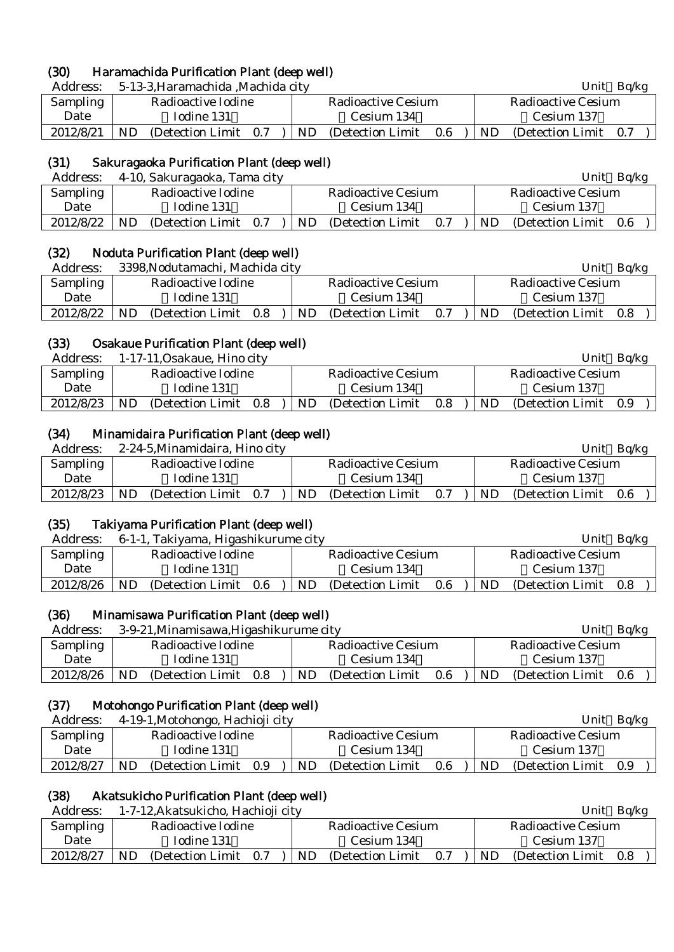### (30) Haramachida Purification Plant (deep well)

Address: 5-13-3,Haramachida ,Machida city Unit Bq/kg

| <b>Sampling</b> | Radioactive Iodine           | Radioactive Cesium                 | Radioactive Cesium              |  |  |  |  |
|-----------------|------------------------------|------------------------------------|---------------------------------|--|--|--|--|
| Date            | Iodine 131                   | Cesium 134                         | Cesium 137                      |  |  |  |  |
| 2012/8/21       | ND.<br>(Detection Limit 0.7) | $ \text{ND}$ (Detection Limit 0.6) | ND.<br>(Detection Limit)<br>0.7 |  |  |  |  |

### (31) Sakuragaoka Purification Plant (deep well)

| Address:  | 4-10, Sakuragaoka, Tama city   | Ba/kg<br>Unit                   |                              |  |  |  |
|-----------|--------------------------------|---------------------------------|------------------------------|--|--|--|
| Sampling  | Radioactive Iodine             | Radioactive Cesium              | Radioactive Cesium           |  |  |  |
| Date      | Iodine 131                     | Cesium 134                      | Cesium 137                   |  |  |  |
| 2012/8/22 | ND<br>(Detection Limit)<br>0.7 | ND.<br>(Detection Limit)<br>0.7 | (Detection Limit 0.6)<br>ND. |  |  |  |

### (32) Noduta Purification Plant (deep well)

| Address:  | 3398, Nodutamachi, Machida city |                                 | Bq/kg<br>Unit                   |  |  |  |
|-----------|---------------------------------|---------------------------------|---------------------------------|--|--|--|
| Sampling  | Radioactive Iodine              | Radioactive Cesium              | Radioactive Cesium              |  |  |  |
| Date      | Iodine 131                      | Cesium 134                      | Cesium 137                      |  |  |  |
| 2012/8/22 | ND<br>(Detection Limit)<br>0.8  | ND.<br>(Detection Limit)<br>0.7 | ND.<br>(Detection Limit)<br>0.8 |  |  |  |

### (33) Osakaue Purification Plant (deep well)

| Address:  |                    | 1-17-11, Osakaue, Hino city |     |                    |                   |     | Ba/kg<br>Unit      |                   |     |  |  |
|-----------|--------------------|-----------------------------|-----|--------------------|-------------------|-----|--------------------|-------------------|-----|--|--|
| Sampling  | Radioactive Iodine |                             |     | Radioactive Cesium |                   |     | Radioactive Cesium |                   |     |  |  |
| Date      |                    | Iodine 131                  |     | Cesium 134         |                   |     |                    | Cesium 137        |     |  |  |
| 2012/8/23 | ND                 | (Detection Limit)           | 0.8 | ND                 | (Detection Limit) | 0.8 | <b>ND</b>          | (Detection Limit) | 0.9 |  |  |
|           |                    |                             |     |                    |                   |     |                    |                   |     |  |  |

### (34) Minamidaira Purification Plant (deep well)

| Address:  |                    | 2-24-5, Minamidaira, Hino city |     |                    |                   |     | Unit<br>Ba/kg      |                       |  |  |
|-----------|--------------------|--------------------------------|-----|--------------------|-------------------|-----|--------------------|-----------------------|--|--|
| Sampling  | Radioactive Iodine |                                |     | Radioactive Cesium |                   |     | Radioactive Cesium |                       |  |  |
| Date      |                    | Iodine 131                     |     | Cesium 134         |                   |     |                    | Cesium 137            |  |  |
| 2012/8/23 | ND                 | (Detection Limit)              | 0.7 | <b>ND</b>          | (Detection Limit) | 0.7 | <b>ND</b>          | (Detection Limit 0.6) |  |  |
|           |                    |                                |     |                    |                   |     |                    |                       |  |  |

### (35) Takiyama Purification Plant (deep well)

| Address:  |                    | 6-1-1, Takiyama, Higashikurume city |      |                    |                   |      |           | Ba/kg<br>Unit         |  |  |  |
|-----------|--------------------|-------------------------------------|------|--------------------|-------------------|------|-----------|-----------------------|--|--|--|
| Sampling  | Radioactive Iodine |                                     |      | Radioactive Cesium |                   |      |           | Radioactive Cesium    |  |  |  |
| Date      |                    | Iodine 131                          |      | Cesium 134         |                   |      |           | Cesium 137            |  |  |  |
| 2012/8/26 | ND.                | (Detection Limit)                   | -0.6 | ND                 | (Detection Limit) | -0.6 | <b>ND</b> | (Detection Limit 0.8) |  |  |  |

### (36) Minamisawa Purification Plant (deep well)

| Address:        | 3-9-21, Minamisawa, Higashikurume city | Ba/kg<br>Unit                       |                              |  |  |  |
|-----------------|----------------------------------------|-------------------------------------|------------------------------|--|--|--|
| <b>Sampling</b> | Radioactive Iodine                     | Radioactive Cesium                  | Radioactive Cesium           |  |  |  |
| Date            | Todine 131                             | Cesium 134                          | Cesium 137                   |  |  |  |
| 2012/8/26       | ND<br>(Detection Limit)<br>0.8         | ND.<br>(Detection Limit)<br>$0.6\,$ | ND.<br>(Detection Limit 0.6) |  |  |  |

### (37) Motohongo Purification Plant (deep well)

| Address:  |    | 4-19-1, Motohongo, Hachioji city |     |     |                    |                    |     | Unit              | Bq/kg |  |
|-----------|----|----------------------------------|-----|-----|--------------------|--------------------|-----|-------------------|-------|--|
| Sampling  |    | Radioactive Iodine               |     |     | Radioactive Cesium | Radioactive Cesium |     |                   |       |  |
| Date      |    | Iodine 131                       |     |     | Cesium 134         |                    |     |                   |       |  |
| 2012/8/27 | ND | (Detection Limit)                | 0.9 | ND. | (Detection Limit)  | 0.6                | ND. | (Detection Limit) | 0.9   |  |

### (38) Akatsukicho Purification Plant (deep well)

Address: 1-7-12, Akatsukicho, Hachioji city Unit Bq/kg Sampling Date Radioactive Iodine Iodine 131 Radioactive Cesium Cesium 134 Radioactive Cesium Cesium 137  $2012/8/27$  ND (Detection Limit 0.7 ) ND (Detection Limit 0.7 ) ND (Detection Limit 0.8